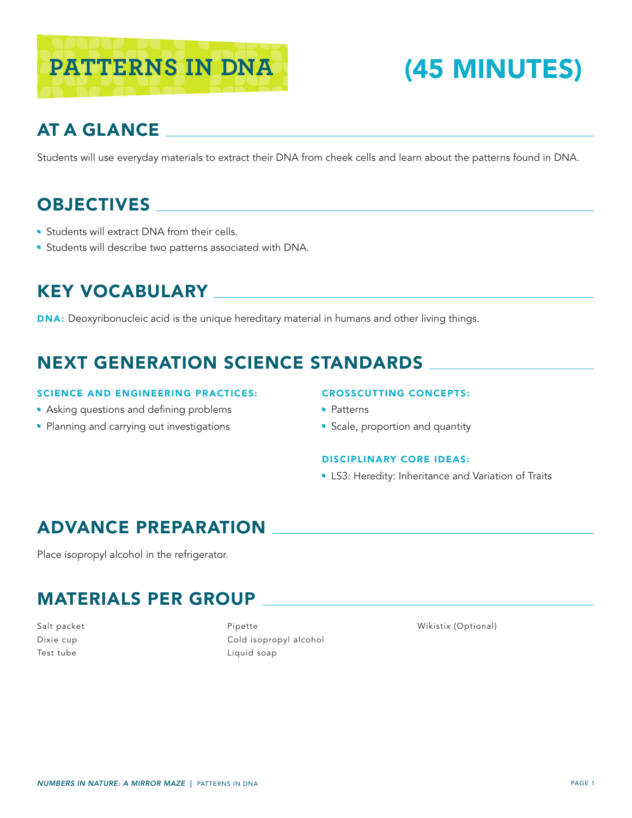

# AT A GLANCE

Students will use everyday materials to extract their DNA from cheek cells and learn about the patterns found in DNA.

# **OBJECTIVES**

- **Students will extract DNA from their cells.**
- **Students will describe two patterns associated with DNA.**

#### KEY VOCABULARY

DNA: Deoxyribonucleic acid is the unique hereditary material in humans and other living things.

## NEXT GENERATION SCIENCE STANDARDS

#### SCIENCE AND ENGINEERING PRACTICES:

- Asking questions and defining problems
- Planning and carrying out investigations

#### CROSSCUTTING CONCEPTS:

- Patterns
- Scale, proportion and quantity

#### DISCIPLINARY CORE IDEAS:

**LS3: Heredity: Inheritance and Variation of Traits** 

### ADVANCE PREPARATION

Place isopropyl alcohol in the refrigerator.

### MATERIALS PER GROUP

Salt packet Dixie cup Test tube

Pipette Cold isopropyl alcohol Liquid soap

Wikistix (Optional)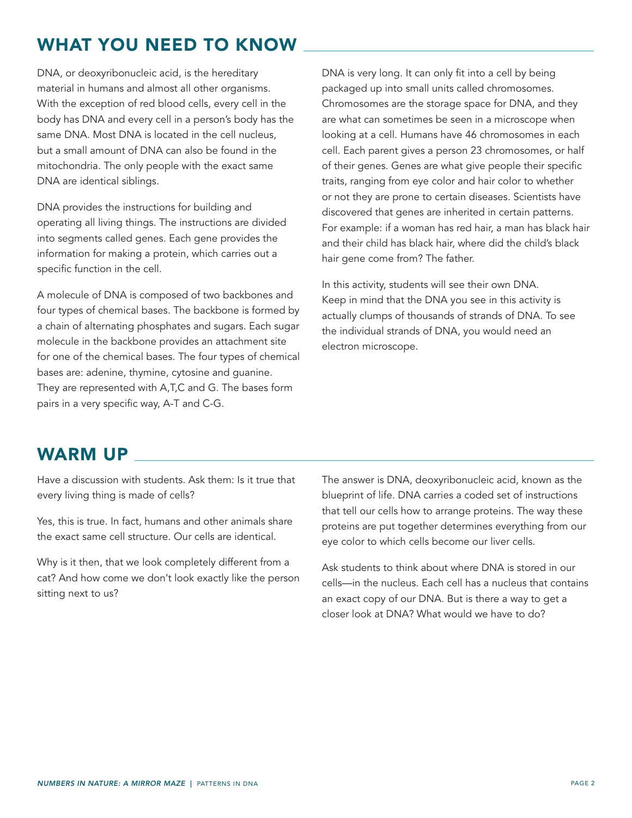## WHAT YOU NEED TO KNOW

DNA, or deoxyribonucleic acid, is the hereditary material in humans and almost all other organisms. With the exception of red blood cells, every cell in the body has DNA and every cell in a person's body has the same DNA. Most DNA is located in the cell nucleus, but a small amount of DNA can also be found in the mitochondria. The only people with the exact same DNA are identical siblings.

DNA provides the instructions for building and operating all living things. The instructions are divided into segments called genes. Each gene provides the information for making a protein, which carries out a specific function in the cell.

A molecule of DNA is composed of two backbones and four types of chemical bases. The backbone is formed by a chain of alternating phosphates and sugars. Each sugar molecule in the backbone provides an attachment site for one of the chemical bases. The four types of chemical bases are: adenine, thymine, cytosine and guanine. They are represented with A,T,C and G. The bases form pairs in a very specific way, A-T and C-G.

DNA is very long. It can only fit into a cell by being packaged up into small units called chromosomes. Chromosomes are the storage space for DNA, and they are what can sometimes be seen in a microscope when looking at a cell. Humans have 46 chromosomes in each cell. Each parent gives a person 23 chromosomes, or half of their genes. Genes are what give people their specific traits, ranging from eye color and hair color to whether or not they are prone to certain diseases. Scientists have discovered that genes are inherited in certain patterns. For example: if a woman has red hair, a man has black hair and their child has black hair, where did the child's black hair gene come from? The father.

In this activity, students will see their own DNA. Keep in mind that the DNA you see in this activity is actually clumps of thousands of strands of DNA. To see the individual strands of DNA, you would need an electron microscope.

#### WARM UP

Have a discussion with students. Ask them: Is it true that every living thing is made of cells?

Yes, this is true. In fact, humans and other animals share the exact same cell structure. Our cells are identical.

Why is it then, that we look completely different from a cat? And how come we don't look exactly like the person sitting next to us?

The answer is DNA, deoxyribonucleic acid, known as the blueprint of life. DNA carries a coded set of instructions that tell our cells how to arrange proteins. The way these proteins are put together determines everything from our eye color to which cells become our liver cells.

Ask students to think about where DNA is stored in our cells—in the nucleus. Each cell has a nucleus that contains an exact copy of our DNA. But is there a way to get a closer look at DNA? What would we have to do?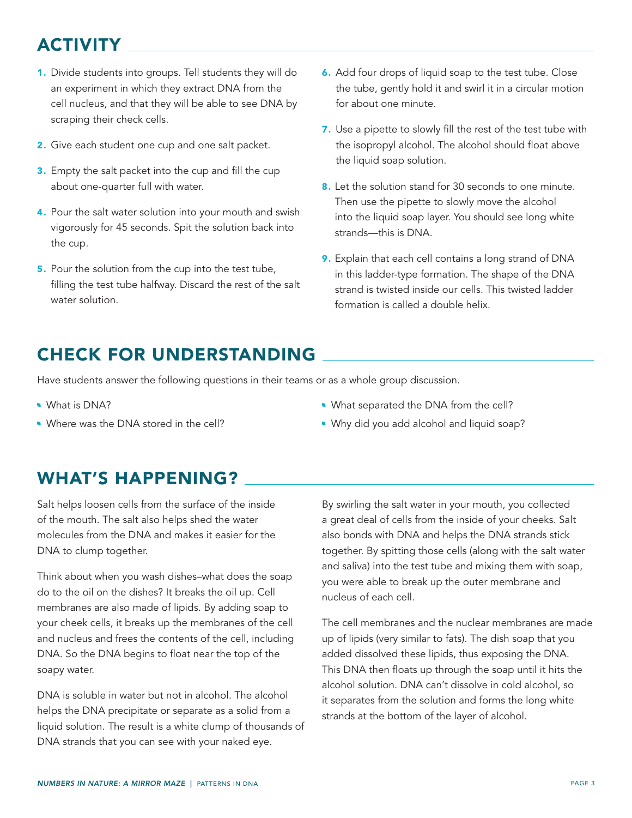# ACTIVITY

- 1. Divide students into groups. Tell students they will do an experiment in which they extract DNA from the cell nucleus, and that they will be able to see DNA by scraping their check cells.
- 2. Give each student one cup and one salt packet.
- 3. Empty the salt packet into the cup and fill the cup about one-quarter full with water.
- 4. Pour the salt water solution into your mouth and swish vigorously for 45 seconds. Spit the solution back into the cup.
- 5. Pour the solution from the cup into the test tube, filling the test tube halfway. Discard the rest of the salt water solution.
- 6. Add four drops of liquid soap to the test tube. Close the tube, gently hold it and swirl it in a circular motion for about one minute.
- 7. Use a pipette to slowly fill the rest of the test tube with the isopropyl alcohol. The alcohol should float above the liquid soap solution.
- 8. Let the solution stand for 30 seconds to one minute. Then use the pipette to slowly move the alcohol into the liquid soap layer. You should see long white strands—this is DNA.
- 9. Explain that each cell contains a long strand of DNA in this ladder-type formation. The shape of the DNA strand is twisted inside our cells. This twisted ladder formation is called a double helix.

# CHECK FOR UNDERSTANDING

Have students answer the following questions in their teams or as a whole group discussion.

- What is DNA?
- Where was the DNA stored in the cell?
- What separated the DNA from the cell?
- Why did you add alcohol and liquid soap?

## WHAT'S HAPPENING?

Salt helps loosen cells from the surface of the inside of the mouth. The salt also helps shed the water molecules from the DNA and makes it easier for the DNA to clump together.

Think about when you wash dishes–what does the soap do to the oil on the dishes? It breaks the oil up. Cell membranes are also made of lipids. By adding soap to your cheek cells, it breaks up the membranes of the cell and nucleus and frees the contents of the cell, including DNA. So the DNA begins to float near the top of the soapy water.

DNA is soluble in water but not in alcohol. The alcohol helps the DNA precipitate or separate as a solid from a liquid solution. The result is a white clump of thousands of DNA strands that you can see with your naked eye.

By swirling the salt water in your mouth, you collected a great deal of cells from the inside of your cheeks. Salt also bonds with DNA and helps the DNA strands stick together. By spitting those cells (along with the salt water and saliva) into the test tube and mixing them with soap, you were able to break up the outer membrane and nucleus of each cell.

The cell membranes and the nuclear membranes are made up of lipids (very similar to fats). The dish soap that you added dissolved these lipids, thus exposing the DNA. This DNA then floats up through the soap until it hits the alcohol solution. DNA can't dissolve in cold alcohol, so it separates from the solution and forms the long white strands at the bottom of the layer of alcohol.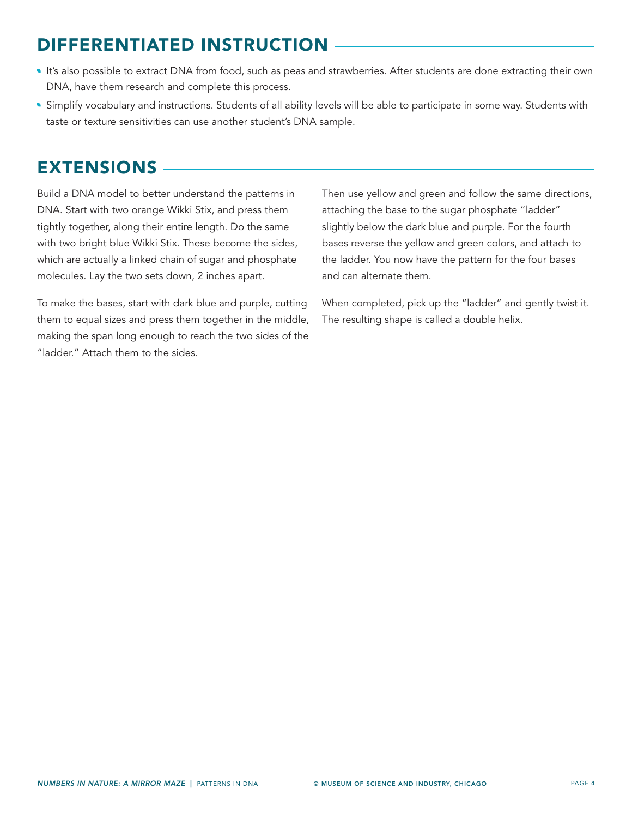# DIFFERENTIATED INSTRUCTION

- It's also possible to extract DNA from food, such as peas and strawberries. After students are done extracting their own DNA, have them research and complete this process.
- Simplify vocabulary and instructions. Students of all ability levels will be able to participate in some way. Students with taste or texture sensitivities can use another student's DNA sample.

## EXTENSIONS

Build a DNA model to better understand the patterns in DNA. Start with two orange Wikki Stix, and press them tightly together, along their entire length. Do the same with two bright blue Wikki Stix. These become the sides, which are actually a linked chain of sugar and phosphate molecules. Lay the two sets down, 2 inches apart.

To make the bases, start with dark blue and purple, cutting them to equal sizes and press them together in the middle, making the span long enough to reach the two sides of the "ladder." Attach them to the sides.

Then use yellow and green and follow the same directions, attaching the base to the sugar phosphate "ladder" slightly below the dark blue and purple. For the fourth bases reverse the yellow and green colors, and attach to the ladder. You now have the pattern for the four bases and can alternate them.

When completed, pick up the "ladder" and gently twist it. The resulting shape is called a double helix.